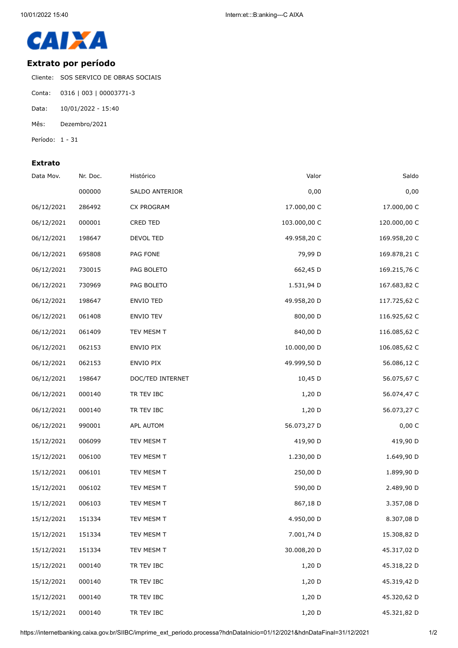

## **Extrato por período**

Cliente: SOS SERVICO DE OBRAS SOCIAIS

- Conta: 0316 | 003 | 00003771-3
- Data: 10/01/2022 15:40
- Mês: Dezembro/2021
- Período: 1 31

## **Extrato**

| Data Mov.  | Nr. Doc. | Histórico        | Valor        | Saldo        |
|------------|----------|------------------|--------------|--------------|
|            | 000000   | SALDO ANTERIOR   | 0,00         | 0,00         |
| 06/12/2021 | 286492   | CX PROGRAM       | 17.000,00 C  | 17.000,00 C  |
| 06/12/2021 | 000001   | <b>CRED TED</b>  | 103.000,00 C | 120.000,00 C |
| 06/12/2021 | 198647   | DEVOL TED        | 49.958,20 C  | 169.958,20 C |
| 06/12/2021 | 695808   | PAG FONE         | 79,99 D      | 169.878,21 C |
| 06/12/2021 | 730015   | PAG BOLETO       | 662,45 D     | 169.215,76 C |
| 06/12/2021 | 730969   | PAG BOLETO       | 1.531,94 D   | 167.683,82 C |
| 06/12/2021 | 198647   | ENVIO TED        | 49.958,20 D  | 117.725,62 C |
| 06/12/2021 | 061408   | <b>ENVIO TEV</b> | 800,00 D     | 116.925,62 C |
| 06/12/2021 | 061409   | TEV MESM T       | 840,00 D     | 116.085,62 C |
| 06/12/2021 | 062153   | ENVIO PIX        | 10.000,00 D  | 106.085,62 C |
| 06/12/2021 | 062153   | ENVIO PIX        | 49.999,50 D  | 56.086,12 C  |
| 06/12/2021 | 198647   | DOC/TED INTERNET | 10,45 D      | 56.075,67 C  |
| 06/12/2021 | 000140   | TR TEV IBC       | 1,20 D       | 56.074,47 C  |
| 06/12/2021 | 000140   | TR TEV IBC       | 1,20 D       | 56.073,27 C  |
| 06/12/2021 | 990001   | APL AUTOM        | 56.073,27 D  | 0,00 C       |
| 15/12/2021 | 006099   | TEV MESM T       | 419,90 D     | 419,90 D     |
| 15/12/2021 | 006100   | TEV MESM T       | 1.230,00 D   | 1.649,90 D   |
| 15/12/2021 | 006101   | TEV MESM T       | 250,00 D     | 1.899,90 D   |
| 15/12/2021 | 006102   | TEV MESM T       | 590,00 D     | 2.489,90 D   |
| 15/12/2021 | 006103   | TEV MESM T       | 867,18 D     | 3.357,08 D   |
| 15/12/2021 | 151334   | TEV MESM T       | 4.950,00 D   | 8.307,08 D   |
| 15/12/2021 | 151334   | TEV MESM T       | 7.001,74 D   | 15.308,82 D  |
| 15/12/2021 | 151334   | TEV MESM T       | 30.008,20 D  | 45.317,02 D  |
| 15/12/2021 | 000140   | TR TEV IBC       | 1,20 D       | 45.318,22 D  |
| 15/12/2021 | 000140   | TR TEV IBC       | 1,20 D       | 45.319,42 D  |
| 15/12/2021 | 000140   | TR TEV IBC       | $1,20$ D     | 45.320,62 D  |
| 15/12/2021 | 000140   | TR TEV IBC       | 1,20 D       | 45.321,82 D  |